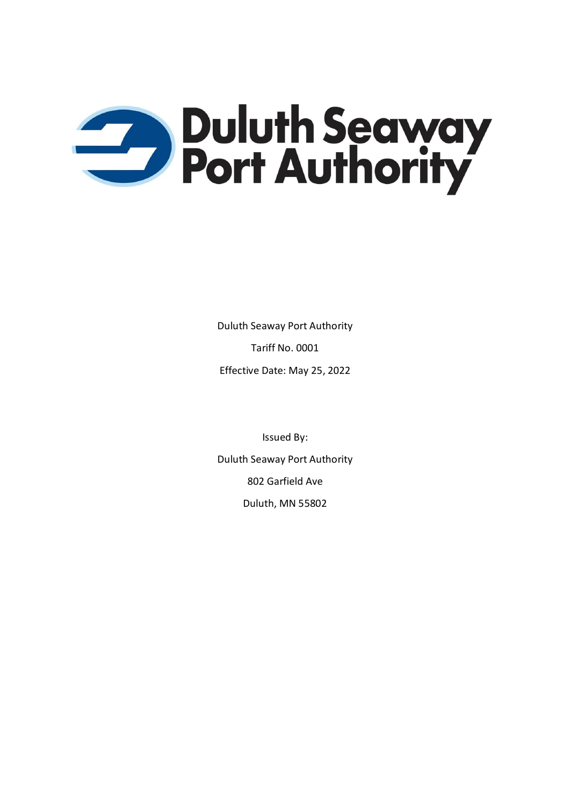

Duluth Seaway Port Authority Tariff No. 0001 Effective Date: May 25, 2022

Issued By: Duluth Seaway Port Authority 802 Garfield Ave Duluth, MN 55802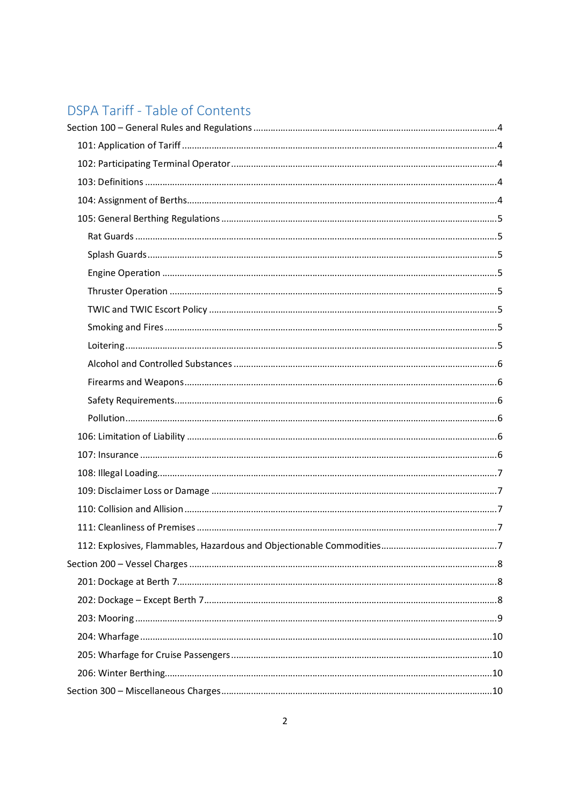# **DSPA Tariff - Table of Contents**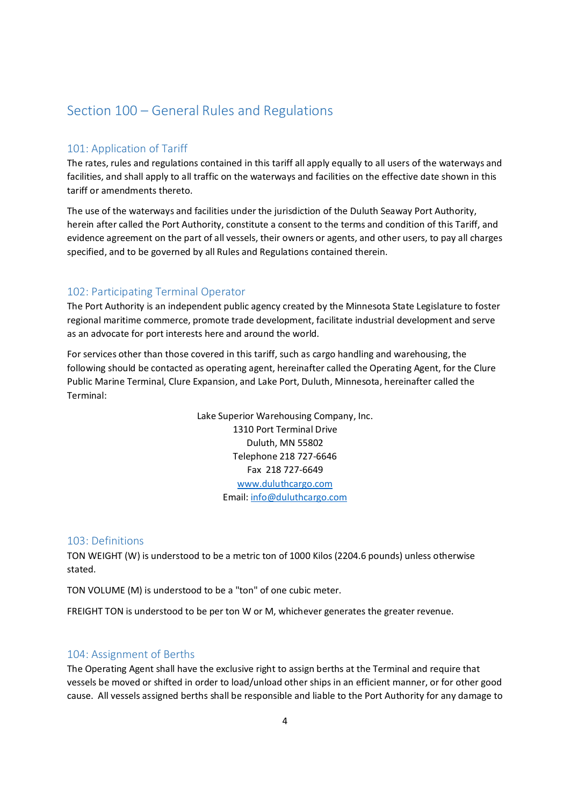# Section 100 – General Rules and Regulations

# 101: Application of Tariff

The rates, rules and regulations contained in this tariff all apply equally to all users of the waterways and facilities, and shall apply to all traffic on the waterways and facilities on the effective date shown in this tariff or amendments thereto.

The use of the waterways and facilities under the jurisdiction of the Duluth Seaway Port Authority, herein after called the Port Authority, constitute a consent to the terms and condition of this Tariff, and evidence agreement on the part of all vessels, their owners or agents, and other users, to pay all charges specified, and to be governed by all Rules and Regulations contained therein.

# 102: Participating Terminal Operator

The Port Authority is an independent public agency created by the Minnesota State Legislature to foster regional maritime commerce, promote trade development, facilitate industrial development and serve as an advocate for port interests here and around the world.

For services other than those covered in this tariff, such as cargo handling and warehousing, the following should be contacted as operating agent, hereinafter called the Operating Agent, for the Clure Public Marine Terminal, Clure Expansion, and Lake Port, Duluth, Minnesota, hereinafter called the Terminal:

> Lake Superior Warehousing Company, Inc. 1310 Port Terminal Drive Duluth, MN 55802 Telephone 218 727-6646 Fax 218 727-6649 www.duluthcargo.com Email: info@duluthcargo.com

## 103: Definitions

TON WEIGHT (W) is understood to be a metric ton of 1000 Kilos (2204.6 pounds) unless otherwise stated.

TON VOLUME (M) is understood to be a "ton" of one cubic meter.

FREIGHT TON is understood to be per ton W or M, whichever generates the greater revenue.

# 104: Assignment of Berths

The Operating Agent shall have the exclusive right to assign berths at the Terminal and require that vessels be moved or shifted in order to load/unload other ships in an efficient manner, or for other good cause. All vessels assigned berths shall be responsible and liable to the Port Authority for any damage to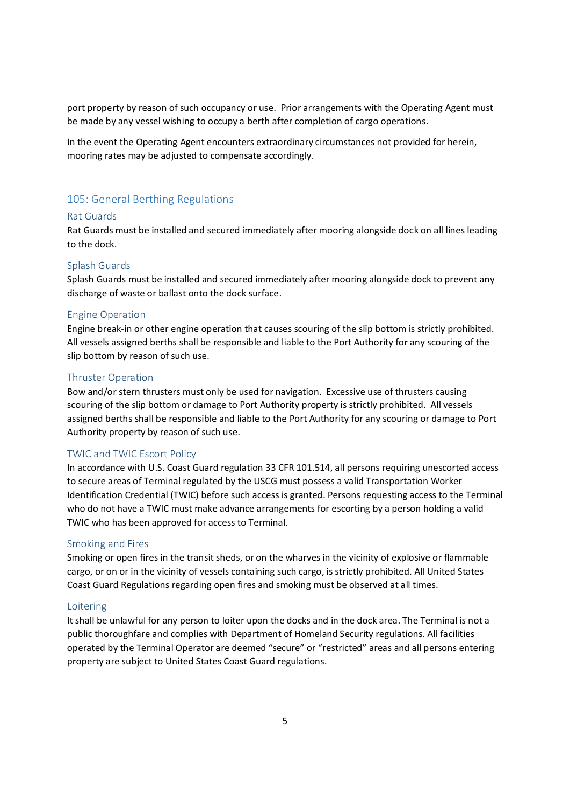port property by reason of such occupancy or use. Prior arrangements with the Operating Agent must be made by any vessel wishing to occupy a berth after completion of cargo operations.

In the event the Operating Agent encounters extraordinary circumstances not provided for herein, mooring rates may be adjusted to compensate accordingly.

# 105: General Berthing Regulations

#### Rat Guards

Rat Guards must be installed and secured immediately after mooring alongside dock on all lines leading to the dock.

#### Splash Guards

Splash Guards must be installed and secured immediately after mooring alongside dock to prevent any discharge of waste or ballast onto the dock surface.

#### Engine Operation

Engine break-in or other engine operation that causes scouring of the slip bottom is strictly prohibited. All vessels assigned berths shall be responsible and liable to the Port Authority for any scouring of the slip bottom by reason of such use.

### Thruster Operation

Bow and/or stern thrusters must only be used for navigation. Excessive use of thrusters causing scouring of the slip bottom or damage to Port Authority property is strictly prohibited. All vessels assigned berths shall be responsible and liable to the Port Authority for any scouring or damage to Port Authority property by reason of such use.

#### TWIC and TWIC Escort Policy

In accordance with U.S. Coast Guard regulation 33 CFR 101.514, all persons requiring unescorted access to secure areas of Terminal regulated by the USCG must possess a valid Transportation Worker Identification Credential (TWIC) before such access is granted. Persons requesting access to the Terminal who do not have a TWIC must make advance arrangements for escorting by a person holding a valid TWIC who has been approved for access to Terminal.

#### Smoking and Fires

Smoking or open fires in the transit sheds, or on the wharves in the vicinity of explosive or flammable cargo, or on or in the vicinity of vessels containing such cargo, is strictly prohibited. All United States Coast Guard Regulations regarding open fires and smoking must be observed at all times.

### Loitering

It shall be unlawful for any person to loiter upon the docks and in the dock area. The Terminal is not a public thoroughfare and complies with Department of Homeland Security regulations. All facilities operated by the Terminal Operator are deemed "secure" or "restricted" areas and all persons entering property are subject to United States Coast Guard regulations.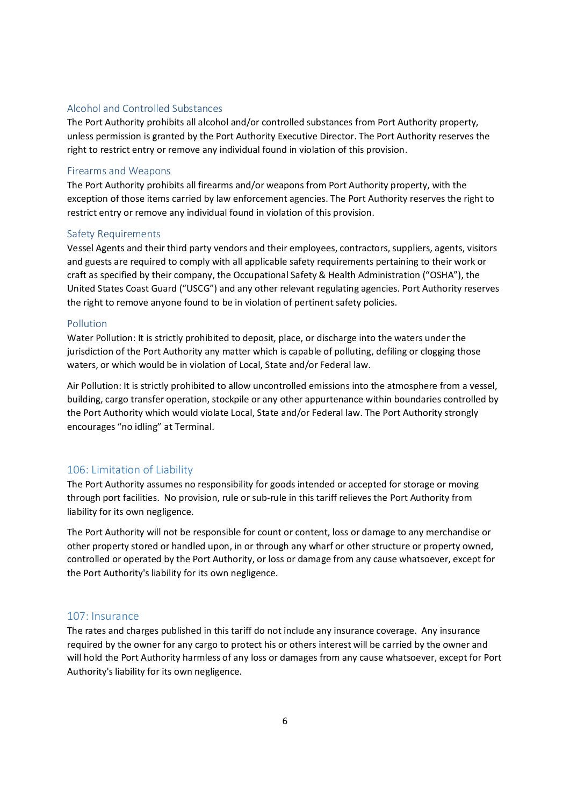#### Alcohol and Controlled Substances

The Port Authority prohibits all alcohol and/or controlled substances from Port Authority property, unless permission is granted by the Port Authority Executive Director. The Port Authority reserves the right to restrict entry or remove any individual found in violation of this provision.

#### Firearms and Weapons

The Port Authority prohibits all firearms and/or weapons from Port Authority property, with the exception of those items carried by law enforcement agencies. The Port Authority reserves the right to restrict entry or remove any individual found in violation of this provision.

#### Safety Requirements

Vessel Agents and their third party vendors and their employees, contractors, suppliers, agents, visitors and guests are required to comply with all applicable safety requirements pertaining to their work or craft as specified by their company, the Occupational Safety & Health Administration ("OSHA"), the United States Coast Guard ("USCG") and any other relevant regulating agencies. Port Authority reserves the right to remove anyone found to be in violation of pertinent safety policies.

#### Pollution

Water Pollution: It is strictly prohibited to deposit, place, or discharge into the waters under the jurisdiction of the Port Authority any matter which is capable of polluting, defiling or clogging those waters, or which would be in violation of Local, State and/or Federal law.

Air Pollution: It is strictly prohibited to allow uncontrolled emissions into the atmosphere from a vessel, building, cargo transfer operation, stockpile or any other appurtenance within boundaries controlled by the Port Authority which would violate Local, State and/or Federal law. The Port Authority strongly encourages "no idling" at Terminal.

# 106: Limitation of Liability

The Port Authority assumes no responsibility for goods intended or accepted for storage or moving through port facilities. No provision, rule or sub-rule in this tariff relieves the Port Authority from liability for its own negligence.

The Port Authority will not be responsible for count or content, loss or damage to any merchandise or other property stored or handled upon, in or through any wharf or other structure or property owned, controlled or operated by the Port Authority, or loss or damage from any cause whatsoever, except for the Port Authority's liability for its own negligence.

#### 107: Insurance

The rates and charges published in this tariff do not include any insurance coverage. Any insurance required by the owner for any cargo to protect his or others interest will be carried by the owner and will hold the Port Authority harmless of any loss or damages from any cause whatsoever, except for Port Authority's liability for its own negligence.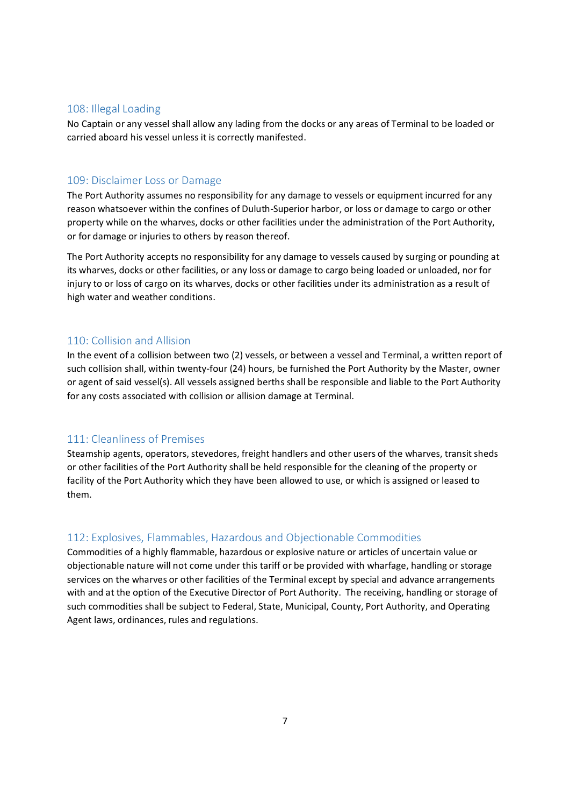### 108: Illegal Loading

No Captain or any vessel shall allow any lading from the docks or any areas of Terminal to be loaded or carried aboard his vessel unless it is correctly manifested.

### 109: Disclaimer Loss or Damage

The Port Authority assumes no responsibility for any damage to vessels or equipment incurred for any reason whatsoever within the confines of Duluth-Superior harbor, or loss or damage to cargo or other property while on the wharves, docks or other facilities under the administration of the Port Authority, or for damage or injuries to others by reason thereof.

The Port Authority accepts no responsibility for any damage to vessels caused by surging or pounding at its wharves, docks or other facilities, or any loss or damage to cargo being loaded or unloaded, nor for injury to or loss of cargo on its wharves, docks or other facilities under its administration as a result of high water and weather conditions.

# 110: Collision and Allision

In the event of a collision between two (2) vessels, or between a vessel and Terminal, a written report of such collision shall, within twenty-four (24) hours, be furnished the Port Authority by the Master, owner or agent of said vessel(s). All vessels assigned berths shall be responsible and liable to the Port Authority for any costs associated with collision or allision damage at Terminal.

## 111: Cleanliness of Premises

Steamship agents, operators, stevedores, freight handlers and other users of the wharves, transit sheds or other facilities of the Port Authority shall be held responsible for the cleaning of the property or facility of the Port Authority which they have been allowed to use, or which is assigned or leased to them.

# 112: Explosives, Flammables, Hazardous and Objectionable Commodities

Commodities of a highly flammable, hazardous or explosive nature or articles of uncertain value or objectionable nature will not come under this tariff or be provided with wharfage, handling or storage services on the wharves or other facilities of the Terminal except by special and advance arrangements with and at the option of the Executive Director of Port Authority. The receiving, handling or storage of such commodities shall be subject to Federal, State, Municipal, County, Port Authority, and Operating Agent laws, ordinances, rules and regulations.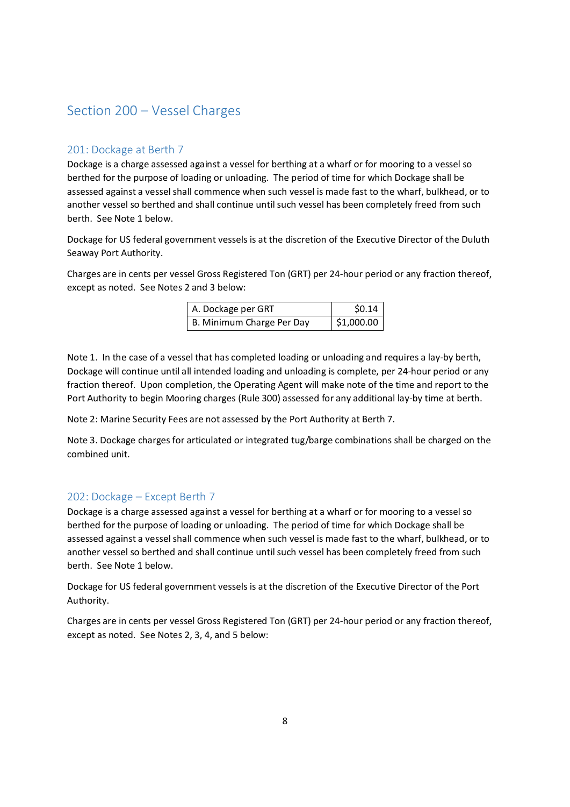# Section 200 – Vessel Charges

# 201: Dockage at Berth 7

Dockage is a charge assessed against a vessel for berthing at a wharf or for mooring to a vessel so berthed for the purpose of loading or unloading. The period of time for which Dockage shall be assessed against a vessel shall commence when such vessel is made fast to the wharf, bulkhead, or to another vessel so berthed and shall continue until such vessel has been completely freed from such berth. See Note 1 below.

Dockage for US federal government vessels is at the discretion of the Executive Director of the Duluth Seaway Port Authority.

Charges are in cents per vessel Gross Registered Ton (GRT) per 24-hour period or any fraction thereof, except as noted. See Notes 2 and 3 below:

| A. Dockage per GRT        | \$0.14     |
|---------------------------|------------|
| B. Minimum Charge Per Day | \$1,000.00 |

Note 1. In the case of a vessel that has completed loading or unloading and requires a lay-by berth, Dockage will continue until all intended loading and unloading is complete, per 24-hour period or any fraction thereof. Upon completion, the Operating Agent will make note of the time and report to the Port Authority to begin Mooring charges (Rule 300) assessed for any additional lay-by time at berth.

Note 2: Marine Security Fees are not assessed by the Port Authority at Berth 7.

Note 3. Dockage charges for articulated or integrated tug/barge combinations shall be charged on the combined unit.

# 202: Dockage – Except Berth 7

Dockage is a charge assessed against a vessel for berthing at a wharf or for mooring to a vessel so berthed for the purpose of loading or unloading. The period of time for which Dockage shall be assessed against a vessel shall commence when such vessel is made fast to the wharf, bulkhead, or to another vessel so berthed and shall continue until such vessel has been completely freed from such berth. See Note 1 below.

Dockage for US federal government vessels is at the discretion of the Executive Director of the Port Authority.

Charges are in cents per vessel Gross Registered Ton (GRT) per 24-hour period or any fraction thereof, except as noted. See Notes 2, 3, 4, and 5 below: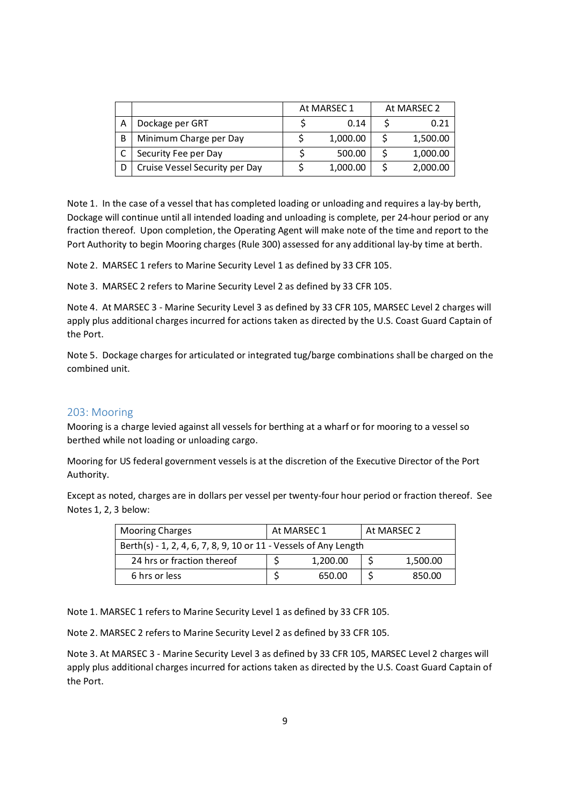|   |                                | At MARSEC 1 | At MARSEC 2 |          |
|---|--------------------------------|-------------|-------------|----------|
| А | Dockage per GRT                | 0.14        |             | 0.21     |
| B | Minimum Charge per Day         | 1,000.00    |             | 1,500.00 |
|   | Security Fee per Day           | 500.00      |             | 1,000.00 |
| D | Cruise Vessel Security per Day | 1,000.00    |             | 2,000.00 |

Note 1. In the case of a vessel that has completed loading or unloading and requires a lay-by berth, Dockage will continue until all intended loading and unloading is complete, per 24-hour period or any fraction thereof. Upon completion, the Operating Agent will make note of the time and report to the Port Authority to begin Mooring charges (Rule 300) assessed for any additional lay-by time at berth.

Note 2. MARSEC 1 refers to Marine Security Level 1 as defined by 33 CFR 105.

Note 3. MARSEC 2 refers to Marine Security Level 2 as defined by 33 CFR 105.

Note 4. At MARSEC 3 - Marine Security Level 3 as defined by 33 CFR 105, MARSEC Level 2 charges will apply plus additional charges incurred for actions taken as directed by the U.S. Coast Guard Captain of the Port.

Note 5. Dockage charges for articulated or integrated tug/barge combinations shall be charged on the combined unit.

# 203: Mooring

Mooring is a charge levied against all vessels for berthing at a wharf or for mooring to a vessel so berthed while not loading or unloading cargo.

Mooring for US federal government vessels is at the discretion of the Executive Director of the Port Authority.

Except as noted, charges are in dollars per vessel per twenty-four hour period or fraction thereof. See Notes 1, 2, 3 below:

| <b>Mooring Charges</b>                                           | At MARSEC 1 |          | At MARSEC 2 |          |  |
|------------------------------------------------------------------|-------------|----------|-------------|----------|--|
| Berth(s) - 1, 2, 4, 6, 7, 8, 9, 10 or 11 - Vessels of Any Length |             |          |             |          |  |
| 24 hrs or fraction thereof                                       |             | 1,200.00 |             | 1,500.00 |  |
| 6 hrs or less                                                    |             | 650.00   |             | 850.00   |  |

Note 1. MARSEC 1 refers to Marine Security Level 1 as defined by 33 CFR 105.

Note 2. MARSEC 2 refers to Marine Security Level 2 as defined by 33 CFR 105.

Note 3. At MARSEC 3 - Marine Security Level 3 as defined by 33 CFR 105, MARSEC Level 2 charges will apply plus additional charges incurred for actions taken as directed by the U.S. Coast Guard Captain of the Port.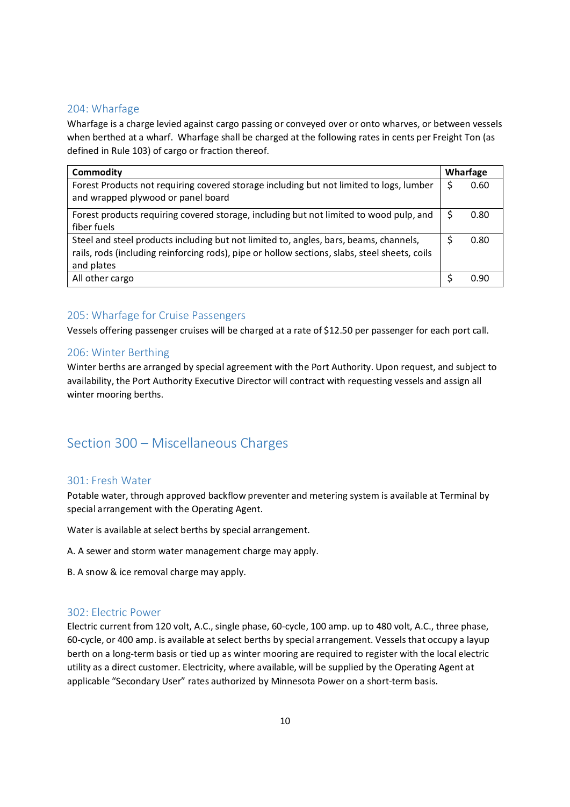# 204: Wharfage

Wharfage is a charge levied against cargo passing or conveyed over or onto wharves, or between vessels when berthed at a wharf. Wharfage shall be charged at the following rates in cents per Freight Ton (as defined in Rule 103) of cargo or fraction thereof.

| Commodity                                                                                                                                                                                            |   | Wharfage |
|------------------------------------------------------------------------------------------------------------------------------------------------------------------------------------------------------|---|----------|
| Forest Products not requiring covered storage including but not limited to logs, lumber<br>and wrapped plywood or panel board                                                                        | S | 0.60     |
| Forest products requiring covered storage, including but not limited to wood pulp, and<br>fiber fuels                                                                                                |   | 0.80     |
| Steel and steel products including but not limited to, angles, bars, beams, channels,<br>rails, rods (including reinforcing rods), pipe or hollow sections, slabs, steel sheets, coils<br>and plates |   | 0.80     |
| All other cargo                                                                                                                                                                                      |   | 0.90     |

# 205: Wharfage for Cruise Passengers

Vessels offering passenger cruises will be charged at a rate of \$12.50 per passenger for each port call.

# 206: Winter Berthing

Winter berths are arranged by special agreement with the Port Authority. Upon request, and subject to availability, the Port Authority Executive Director will contract with requesting vessels and assign all winter mooring berths.

# Section 300 – Miscellaneous Charges

# 301: Fresh Water

Potable water, through approved backflow preventer and metering system is available at Terminal by special arrangement with the Operating Agent.

Water is available at select berths by special arrangement.

- A. A sewer and storm water management charge may apply.
- B. A snow & ice removal charge may apply.

# 302: Electric Power

Electric current from 120 volt, A.C., single phase, 60-cycle, 100 amp. up to 480 volt, A.C., three phase, 60-cycle, or 400 amp. is available at select berths by special arrangement. Vessels that occupy a layup berth on a long-term basis or tied up as winter mooring are required to register with the local electric utility as a direct customer. Electricity, where available, will be supplied by the Operating Agent at applicable "Secondary User" rates authorized by Minnesota Power on a short-term basis.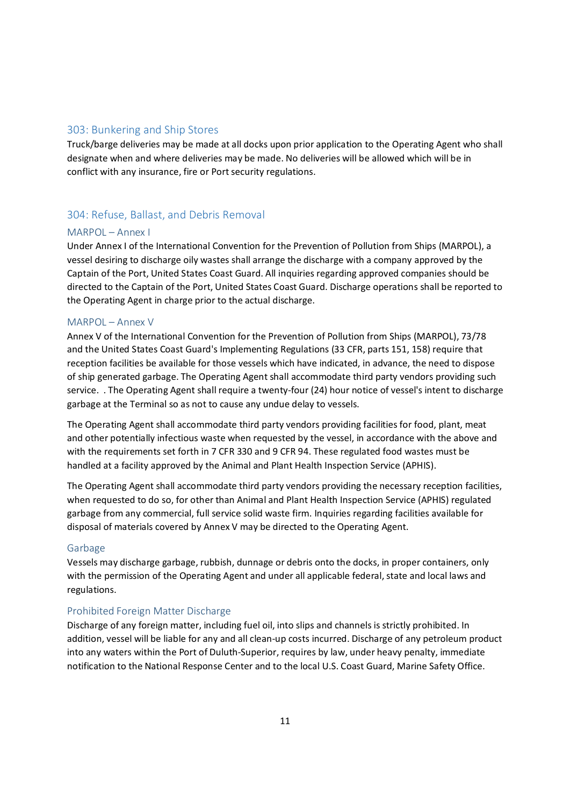## 303: Bunkering and Ship Stores

Truck/barge deliveries may be made at all docks upon prior application to the Operating Agent who shall designate when and where deliveries may be made. No deliveries will be allowed which will be in conflict with any insurance, fire or Port security regulations.

# 304: Refuse, Ballast, and Debris Removal

#### MARPOL – Annex I

Under Annex I of the International Convention for the Prevention of Pollution from Ships (MARPOL), a vessel desiring to discharge oily wastes shall arrange the discharge with a company approved by the Captain of the Port, United States Coast Guard. All inquiries regarding approved companies should be directed to the Captain of the Port, United States Coast Guard. Discharge operations shall be reported to the Operating Agent in charge prior to the actual discharge.

### MARPOL – Annex V

Annex V of the International Convention for the Prevention of Pollution from Ships (MARPOL), 73/78 and the United States Coast Guard's Implementing Regulations (33 CFR, parts 151, 158) require that reception facilities be available for those vessels which have indicated, in advance, the need to dispose of ship generated garbage. The Operating Agent shall accommodate third party vendors providing such service. . The Operating Agent shall require a twenty-four (24) hour notice of vessel's intent to discharge garbage at the Terminal so as not to cause any undue delay to vessels.

The Operating Agent shall accommodate third party vendors providing facilities for food, plant, meat and other potentially infectious waste when requested by the vessel, in accordance with the above and with the requirements set forth in 7 CFR 330 and 9 CFR 94. These regulated food wastes must be handled at a facility approved by the Animal and Plant Health Inspection Service (APHIS).

The Operating Agent shall accommodate third party vendors providing the necessary reception facilities, when requested to do so, for other than Animal and Plant Health Inspection Service (APHIS) regulated garbage from any commercial, full service solid waste firm. Inquiries regarding facilities available for disposal of materials covered by Annex V may be directed to the Operating Agent.

#### Garbage

Vessels may discharge garbage, rubbish, dunnage or debris onto the docks, in proper containers, only with the permission of the Operating Agent and under all applicable federal, state and local laws and regulations.

#### Prohibited Foreign Matter Discharge

Discharge of any foreign matter, including fuel oil, into slips and channels is strictly prohibited. In addition, vessel will be liable for any and all clean-up costs incurred. Discharge of any petroleum product into any waters within the Port of Duluth-Superior, requires by law, under heavy penalty, immediate notification to the National Response Center and to the local U.S. Coast Guard, Marine Safety Office.